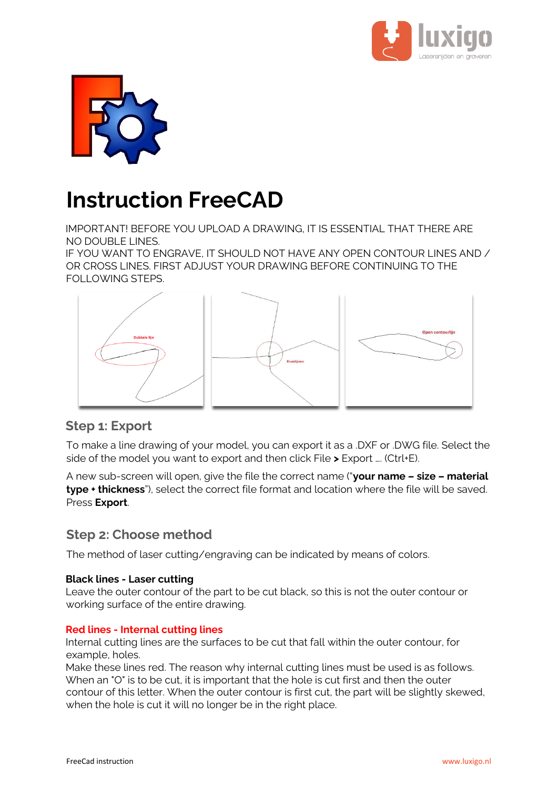



# **Instruction FreeCAD**

IMPORTANT! BEFORE YOU UPLOAD A DRAWING, IT IS ESSENTIAL THAT THERE ARE NO DOUBLE LINES.

IF YOU WANT TO ENGRAVE, IT SHOULD NOT HAVE ANY OPEN CONTOUR LINES AND / OR CROSS LINES. FIRST ADJUST YOUR DRAWING BEFORE CONTINUING TO THE FOLLOWING STEPS.



## **Step 1: Export**

To make a line drawing of your model, you can export it as a .DXF or .DWG file. Select the side of the model you want to export and then click File **>** Export …. (Ctrl+E).

A new sub-screen will open, give the file the correct name ("**your name – size – material type + thickness**"), select the correct file format and location where the file will be saved. Press **Export**.

## **Step 2: Choose method**

The method of laser cutting/engraving can be indicated by means of colors.

#### **Black lines - Laser cutting**

Leave the outer contour of the part to be cut black, so this is not the outer contour or working surface of the entire drawing.

#### **Red lines - Internal cutting lines**

Internal cutting lines are the surfaces to be cut that fall within the outer contour, for example, holes.

Make these lines red. The reason why internal cutting lines must be used is as follows. When an "O" is to be cut, it is important that the hole is cut first and then the outer contour of this letter. When the outer contour is first cut, the part will be slightly skewed, when the hole is cut it will no longer be in the right place.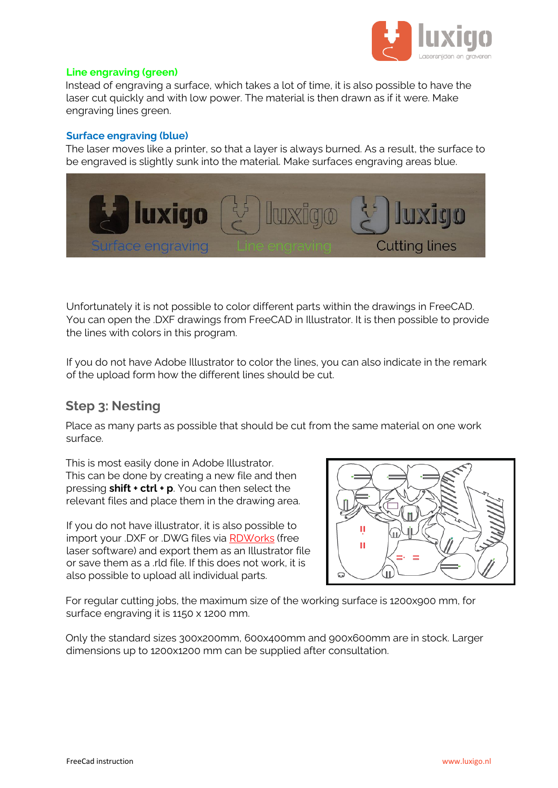

#### **Line engraving (green)**

Instead of engraving a surface, which takes a lot of time, it is also possible to have the laser cut quickly and with low power. The material is then drawn as if it were. Make engraving lines green.

#### **Surface engraving (blue)**

The laser moves like a printer, so that a layer is always burned. As a result, the surface to be engraved is slightly sunk into the material. Make surfaces engraving areas blue.



Unfortunately it is not possible to color different parts within the drawings in FreeCAD. You can open the .DXF drawings from FreeCAD in Illustrator. It is then possible to provide the lines with colors in this program.

If you do not have Adobe Illustrator to color the lines, you can also indicate in the remark of the upload form how the different lines should be cut.

## **Step 3: Nesting**

Place as many parts as possible that should be cut from the same material on one work surface.

This is most easily done in Adobe Illustrator. This can be done by creating a new file and then pressing **shift + ctrl + p**. You can then select the relevant files and place them in the drawing area.

If you do not have illustrator, it is also possible to import your .DXF or .DWG files via [RDWorks](https://www.luxigo.nl/Software/RDWorksV8%20-%20Luxigo.zip) (free laser software) and export them as an Illustrator file or save them as a .rld file. If this does not work, it is also possible to upload all individual parts.



For regular cutting jobs, the maximum size of the working surface is 1200x900 mm, for surface engraving it is 1150 x 1200 mm.

Only the standard sizes 300x200mm, 600x400mm and 900x600mm are in stock. Larger dimensions up to 1200x1200 mm can be supplied after consultation.